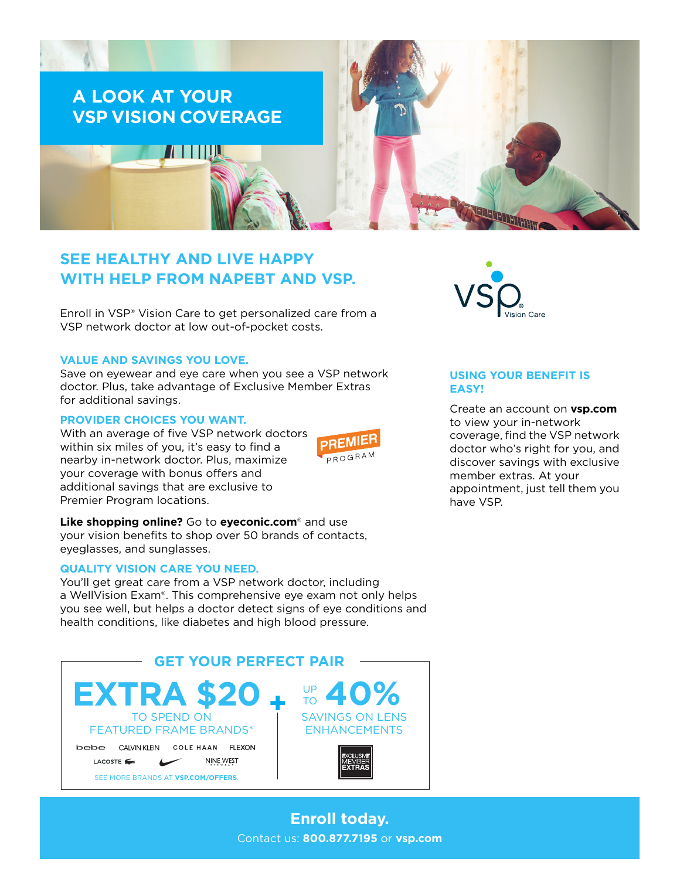

# **SEE HEALTHY AND LIVE HAPPY WITH HELP FROM NAPEBT AND VSP.**

Enroll in VSP® Vision Care to get personalized care from a VSP network doctor at low out-of-pocket costs.

### **VALUE AND SAVINGS YOU LOVE.**

Save on eyewear and eye care when you see a VSP network doctor. Plus, take advantage of Exclusive Member Extras for additional savings.

### **PROVIDER CHOICES YOU WANT.**

With an average of five VSP network doctors within six miles of you, it's easy to find a nearby in-network doctor. Plus, maximize your coverage with bonus offers and additional savings that are exclusive to Premier Program locations.



**Like shopping online?** Go to **[eyeconic.com](https://www.eyeconic.com)**® and use your vision benefits to shop over 50 brands of contacts, eyeglasses, and sunglasses.

### **QUALITY VISION CARE YOU NEED.**

You'll get great care from a VSP network doctor, including a WellVision Exam®. This comprehensive eye exam not only helps you see well, but helps a doctor detect signs of eye conditions and health conditions, like diabetes and high blood pressure.







## **USING YOUR BENEFIT IS EASY!**

Create an account on **[vsp.com](http://www.vsp.com)** to view your in-network coverage, find the VSP network doctor who's right for you, and discover savings with exclusive member extras. At your appointment, just tell them you have VSP.